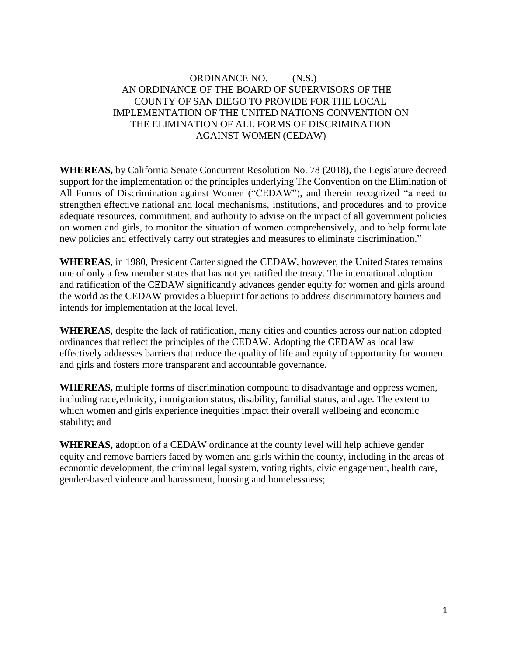# ORDINANCE NO. (N.S.) AN ORDINANCE OF THE BOARD OF SUPERVISORS OF THE COUNTY OF SAN DIEGO TO PROVIDE FOR THE LOCAL IMPLEMENTATION OF THE UNITED NATIONS CONVENTION ON THE ELIMINATION OF ALL FORMS OF DISCRIMINATION AGAINST WOMEN (CEDAW)

**WHEREAS,** by California Senate Concurrent Resolution No. 78 (2018), the Legislature decreed support for the implementation of the principles underlying The Convention on the Elimination of All Forms of Discrimination against Women ("CEDAW"), and therein recognized "a need to strengthen effective national and local mechanisms, institutions, and procedures and to provide adequate resources, commitment, and authority to advise on the impact of all government policies on women and girls, to monitor the situation of women comprehensively, and to help formulate new policies and effectively carry out strategies and measures to eliminate discrimination."

**WHEREAS**, in 1980, President Carter signed the CEDAW, however, the United States remains one of only a few member states that has not yet ratified the treaty. The international adoption and ratification of the CEDAW significantly advances gender equity for women and girls around the world as the CEDAW provides a blueprint for actions to address discriminatory barriers and intends for implementation at the local level.

**WHEREAS**, despite the lack of ratification, many cities and counties across our nation adopted ordinances that reflect the principles of the CEDAW. Adopting the CEDAW as local law effectively addresses barriers that reduce the quality of life and equity of opportunity for women and girls and fosters more transparent and accountable governance.

**WHEREAS,** multiple forms of discrimination compound to disadvantage and oppress women, including race, ethnicity, immigration status, disability, familial status, and age. The extent to which women and girls experience inequities impact their overall wellbeing and economic stability; and

**WHEREAS,** adoption of a CEDAW ordinance at the county level will help achieve gender equity and remove barriers faced by women and girls within the county, including in the areas of economic development, the criminal legal system, voting rights, civic engagement, health care, gender-based violence and harassment, housing and homelessness;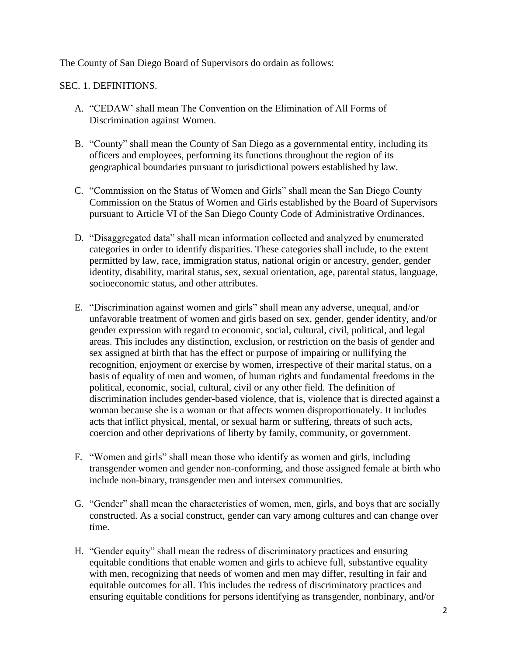The County of San Diego Board of Supervisors do ordain as follows:

#### SEC. 1. DEFINITIONS.

- A. "CEDAW' shall mean The Convention on the Elimination of All Forms of Discrimination against Women.
- B. "County" shall mean the County of San Diego as a governmental entity, including its officers and employees, performing its functions throughout the region of its geographical boundaries pursuant to jurisdictional powers established by law.
- C. "Commission on the Status of Women and Girls" shall mean the San Diego County Commission on the Status of Women and Girls established by the Board of Supervisors pursuant to Article VI of the San Diego County Code of Administrative Ordinances.
- D. "Disaggregated data" shall mean information collected and analyzed by enumerated categories in order to identify disparities. These categories shall include, to the extent permitted by law, race, immigration status, national origin or ancestry, gender, gender identity, disability, marital status, sex, sexual orientation, age, parental status, language, socioeconomic status, and other attributes.
- E. "Discrimination against women and girls" shall mean any adverse, unequal, and/or unfavorable treatment of women and girls based on sex, gender, gender identity, and/or gender expression with regard to economic, social, cultural, civil, political, and legal areas. This includes any distinction, exclusion, or restriction on the basis of gender and sex assigned at birth that has the effect or purpose of impairing or nullifying the recognition, enjoyment or exercise by women, irrespective of their marital status, on a basis of equality of men and women, of human rights and fundamental freedoms in the political, economic, social, cultural, civil or any other field. The definition of discrimination includes gender-based violence, that is, violence that is directed against a woman because she is a woman or that affects women disproportionately. It includes acts that inflict physical, mental, or sexual harm or suffering, threats of such acts, coercion and other deprivations of liberty by family, community, or government.
- F. "Women and girls" shall mean those who identify as women and girls, including transgender women and gender non-conforming, and those assigned female at birth who include non-binary, transgender men and intersex communities.
- G. "Gender" shall mean the characteristics of women, men, girls, and boys that are socially constructed. As a social construct, gender can vary among cultures and can change over time.
- H. "Gender equity" shall mean the redress of discriminatory practices and ensuring equitable conditions that enable women and girls to achieve full, substantive equality with men, recognizing that needs of women and men may differ, resulting in fair and equitable outcomes for all. This includes the redress of discriminatory practices and ensuring equitable conditions for persons identifying as transgender, nonbinary, and/or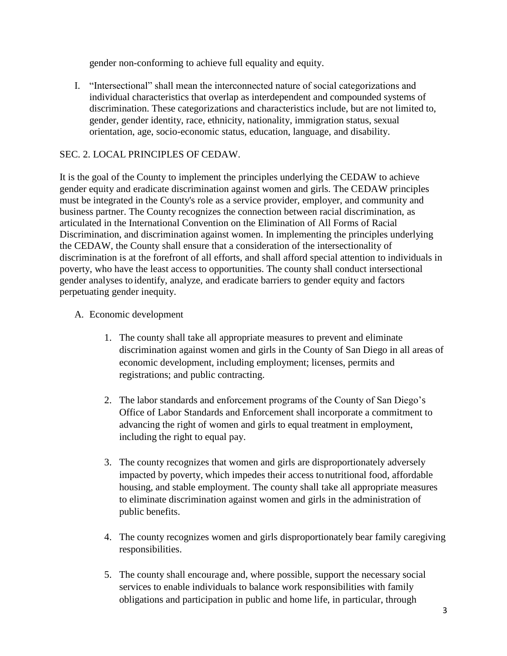gender non-conforming to achieve full equality and equity.

I. "Intersectional" shall mean the interconnected nature of social categorizations and individual characteristics that overlap as interdependent and compounded systems of discrimination. These categorizations and characteristics include, but are not limited to, gender, gender identity, race, ethnicity, nationality, immigration status, sexual orientation, age, socio-economic status, education, language, and disability.

# SEC. 2. LOCAL PRINCIPLES OF CEDAW.

It is the goal of the County to implement the principles underlying the CEDAW to achieve gender equity and eradicate discrimination against women and girls. The CEDAW principles must be integrated in the County's role as a service provider, employer, and community and business partner. The County recognizes the connection between racial discrimination, as articulated in the International Convention on the Elimination of All Forms of Racial Discrimination, and discrimination against women. In implementing the principles underlying the CEDAW, the County shall ensure that a consideration of the intersectionality of discrimination is at the forefront of all efforts, and shall afford special attention to individuals in poverty, who have the least access to opportunities. The county shall conduct intersectional gender analyses to identify, analyze, and eradicate barriers to gender equity and factors perpetuating gender inequity.

- A. Economic development
	- 1. The county shall take all appropriate measures to prevent and eliminate discrimination against women and girls in the County of San Diego in all areas of economic development, including employment; licenses, permits and registrations; and public contracting.
	- 2. The labor standards and enforcement programs of the County of San Diego's Office of Labor Standards and Enforcement shall incorporate a commitment to advancing the right of women and girls to equal treatment in employment, including the right to equal pay.
	- 3. The county recognizes that women and girls are disproportionately adversely impacted by poverty, which impedes their access to nutritional food, affordable housing, and stable employment. The county shall take all appropriate measures to eliminate discrimination against women and girls in the administration of public benefits.
	- 4. The county recognizes women and girls disproportionately bear family caregiving responsibilities.
	- 5. The county shall encourage and, where possible, support the necessary social services to enable individuals to balance work responsibilities with family obligations and participation in public and home life, in particular, through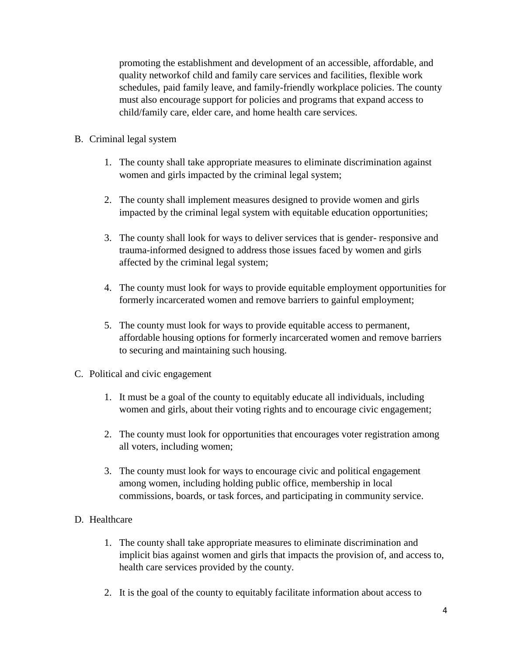promoting the establishment and development of an accessible, affordable, and quality networkof child and family care services and facilities, flexible work schedules, paid family leave, and family-friendly workplace policies. The county must also encourage support for policies and programs that expand access to child/family care, elder care, and home health care services.

- B. Criminal legal system
	- 1. The county shall take appropriate measures to eliminate discrimination against women and girls impacted by the criminal legal system;
	- 2. The county shall implement measures designed to provide women and girls impacted by the criminal legal system with equitable education opportunities;
	- 3. The county shall look for ways to deliver services that is gender- responsive and trauma-informed designed to address those issues faced by women and girls affected by the criminal legal system;
	- 4. The county must look for ways to provide equitable employment opportunities for formerly incarcerated women and remove barriers to gainful employment;
	- 5. The county must look for ways to provide equitable access to permanent, affordable housing options for formerly incarcerated women and remove barriers to securing and maintaining such housing.
- C. Political and civic engagement
	- 1. It must be a goal of the county to equitably educate all individuals, including women and girls, about their voting rights and to encourage civic engagement;
	- 2. The county must look for opportunities that encourages voter registration among all voters, including women;
	- 3. The county must look for ways to encourage civic and political engagement among women, including holding public office, membership in local commissions, boards, or task forces, and participating in community service.
- D. Healthcare
	- 1. The county shall take appropriate measures to eliminate discrimination and implicit bias against women and girls that impacts the provision of, and access to, health care services provided by the county.
	- 2. It is the goal of the county to equitably facilitate information about access to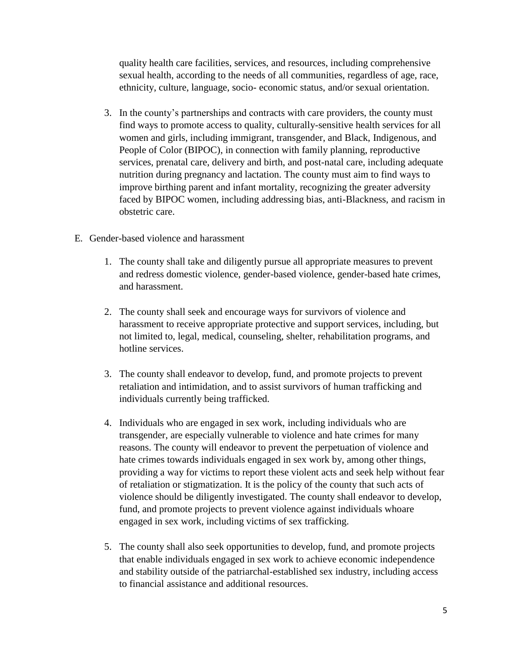quality health care facilities, services, and resources, including comprehensive sexual health, according to the needs of all communities, regardless of age, race, ethnicity, culture, language, socio- economic status, and/or sexual orientation.

- 3. In the county's partnerships and contracts with care providers, the county must find ways to promote access to quality, culturally-sensitive health services for all women and girls, including immigrant, transgender, and Black, Indigenous, and People of Color (BIPOC), in connection with family planning, reproductive services, prenatal care, delivery and birth, and post-natal care, including adequate nutrition during pregnancy and lactation. The county must aim to find ways to improve birthing parent and infant mortality, recognizing the greater adversity faced by BIPOC women, including addressing bias, anti-Blackness, and racism in obstetric care.
- E. Gender-based violence and harassment
	- 1. The county shall take and diligently pursue all appropriate measures to prevent and redress domestic violence, gender-based violence, gender-based hate crimes, and harassment.
	- 2. The county shall seek and encourage ways for survivors of violence and harassment to receive appropriate protective and support services, including, but not limited to, legal, medical, counseling, shelter, rehabilitation programs, and hotline services.
	- 3. The county shall endeavor to develop, fund, and promote projects to prevent retaliation and intimidation, and to assist survivors of human trafficking and individuals currently being trafficked.
	- 4. Individuals who are engaged in sex work, including individuals who are transgender, are especially vulnerable to violence and hate crimes for many reasons. The county will endeavor to prevent the perpetuation of violence and hate crimes towards individuals engaged in sex work by, among other things, providing a way for victims to report these violent acts and seek help without fear of retaliation or stigmatization. It is the policy of the county that such acts of violence should be diligently investigated. The county shall endeavor to develop, fund, and promote projects to prevent violence against individuals whoare engaged in sex work, including victims of sex trafficking.
	- 5. The county shall also seek opportunities to develop, fund, and promote projects that enable individuals engaged in sex work to achieve economic independence and stability outside of the patriarchal-established sex industry, including access to financial assistance and additional resources.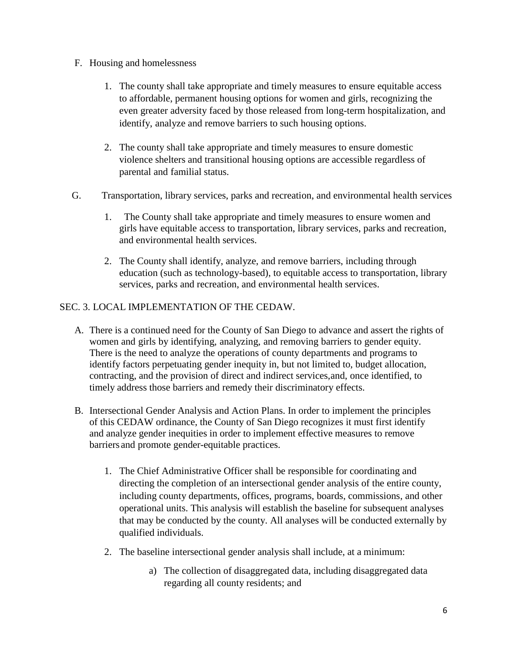- F. Housing and homelessness
	- 1. The county shall take appropriate and timely measures to ensure equitable access to affordable, permanent housing options for women and girls, recognizing the even greater adversity faced by those released from long-term hospitalization, and identify, analyze and remove barriers to such housing options.
	- 2. The county shall take appropriate and timely measures to ensure domestic violence shelters and transitional housing options are accessible regardless of parental and familial status.
- G. Transportation, library services, parks and recreation, and environmental health services
	- 1. The County shall take appropriate and timely measures to ensure women and girls have equitable access to transportation, library services, parks and recreation, and environmental health services.
	- 2. The County shall identify, analyze, and remove barriers, including through education (such as technology-based), to equitable access to transportation, library services, parks and recreation, and environmental health services.

#### SEC. 3. LOCAL IMPLEMENTATION OF THE CEDAW.

- A. There is a continued need for the County of San Diego to advance and assert the rights of women and girls by identifying, analyzing, and removing barriers to gender equity. There is the need to analyze the operations of county departments and programs to identify factors perpetuating gender inequity in, but not limited to, budget allocation, contracting, and the provision of direct and indirect services,and, once identified, to timely address those barriers and remedy their discriminatory effects.
- B. Intersectional Gender Analysis and Action Plans. In order to implement the principles of this CEDAW ordinance, the County of San Diego recognizes it must first identify and analyze gender inequities in order to implement effective measures to remove barriers and promote gender-equitable practices.
	- 1. The Chief Administrative Officer shall be responsible for coordinating and directing the completion of an intersectional gender analysis of the entire county, including county departments, offices, programs, boards, commissions, and other operational units. This analysis will establish the baseline for subsequent analyses that may be conducted by the county. All analyses will be conducted externally by qualified individuals.
	- 2. The baseline intersectional gender analysis shall include, at a minimum:
		- a) The collection of disaggregated data, including disaggregated data regarding all county residents; and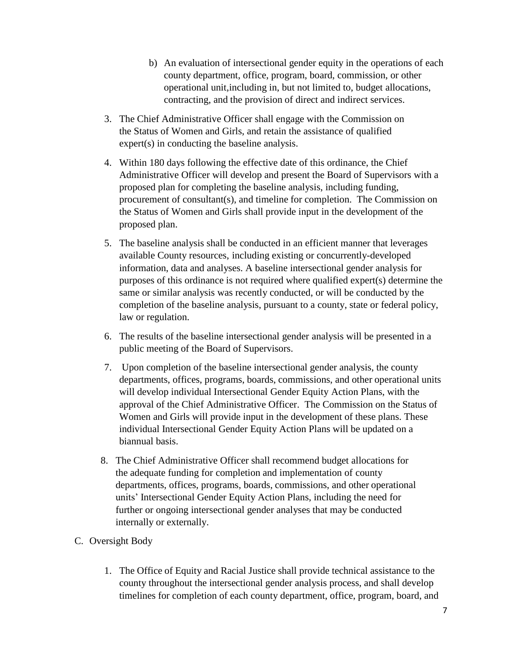- b) An evaluation of intersectional gender equity in the operations of each county department, office, program, board, commission, or other operational unit,including in, but not limited to, budget allocations, contracting, and the provision of direct and indirect services.
- 3. The Chief Administrative Officer shall engage with the Commission on the Status of Women and Girls, and retain the assistance of qualified expert(s) in conducting the baseline analysis.
- 4. Within 180 days following the effective date of this ordinance, the Chief Administrative Officer will develop and present the Board of Supervisors with a proposed plan for completing the baseline analysis, including funding, procurement of consultant(s), and timeline for completion. The Commission on the Status of Women and Girls shall provide input in the development of the proposed plan.
- 5. The baseline analysis shall be conducted in an efficient manner that leverages available County resources, including existing or concurrently-developed information, data and analyses. A baseline intersectional gender analysis for purposes of this ordinance is not required where qualified expert(s) determine the same or similar analysis was recently conducted, or will be conducted by the completion of the baseline analysis, pursuant to a county, state or federal policy, law or regulation.
- 6. The results of the baseline intersectional gender analysis will be presented in a public meeting of the Board of Supervisors.
- 7. Upon completion of the baseline intersectional gender analysis, the county departments, offices, programs, boards, commissions, and other operational units will develop individual Intersectional Gender Equity Action Plans, with the approval of the Chief Administrative Officer. The Commission on the Status of Women and Girls will provide input in the development of these plans. These individual Intersectional Gender Equity Action Plans will be updated on a biannual basis.
- 8. The Chief Administrative Officer shall recommend budget allocations for the adequate funding for completion and implementation of county departments, offices, programs, boards, commissions, and other operational units' Intersectional Gender Equity Action Plans, including the need for further or ongoing intersectional gender analyses that may be conducted internally or externally.
- C. Oversight Body
	- 1. The Office of Equity and Racial Justice shall provide technical assistance to the county throughout the intersectional gender analysis process, and shall develop timelines for completion of each county department, office, program, board, and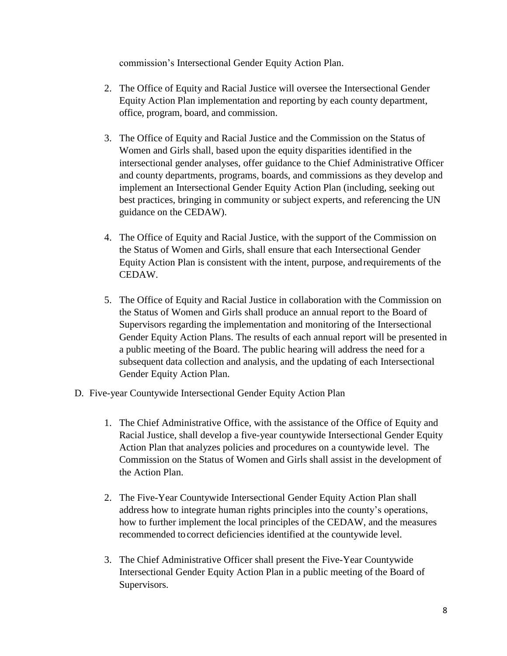commission's Intersectional Gender Equity Action Plan.

- 2. The Office of Equity and Racial Justice will oversee the Intersectional Gender Equity Action Plan implementation and reporting by each county department, office, program, board, and commission.
- 3. The Office of Equity and Racial Justice and the Commission on the Status of Women and Girls shall, based upon the equity disparities identified in the intersectional gender analyses, offer guidance to the Chief Administrative Officer and county departments, programs, boards, and commissions as they develop and implement an Intersectional Gender Equity Action Plan (including, seeking out best practices, bringing in community or subject experts, and referencing the UN guidance on the CEDAW).
- 4. The Office of Equity and Racial Justice, with the support of the Commission on the Status of Women and Girls, shall ensure that each Intersectional Gender Equity Action Plan is consistent with the intent, purpose, and requirements of the CEDAW.
- 5. The Office of Equity and Racial Justice in collaboration with the Commission on the Status of Women and Girls shall produce an annual report to the Board of Supervisors regarding the implementation and monitoring of the Intersectional Gender Equity Action Plans. The results of each annual report will be presented in a public meeting of the Board. The public hearing will address the need for a subsequent data collection and analysis, and the updating of each Intersectional Gender Equity Action Plan.
- D. Five-year Countywide Intersectional Gender Equity Action Plan
	- 1. The Chief Administrative Office, with the assistance of the Office of Equity and Racial Justice, shall develop a five-year countywide Intersectional Gender Equity Action Plan that analyzes policies and procedures on a countywide level. The Commission on the Status of Women and Girls shall assist in the development of the Action Plan.
	- 2. The Five-Year Countywide Intersectional Gender Equity Action Plan shall address how to integrate human rights principles into the county's operations, how to further implement the local principles of the CEDAW, and the measures recommended to correct deficiencies identified at the countywide level.
	- 3. The Chief Administrative Officer shall present the Five-Year Countywide Intersectional Gender Equity Action Plan in a public meeting of the Board of Supervisors.